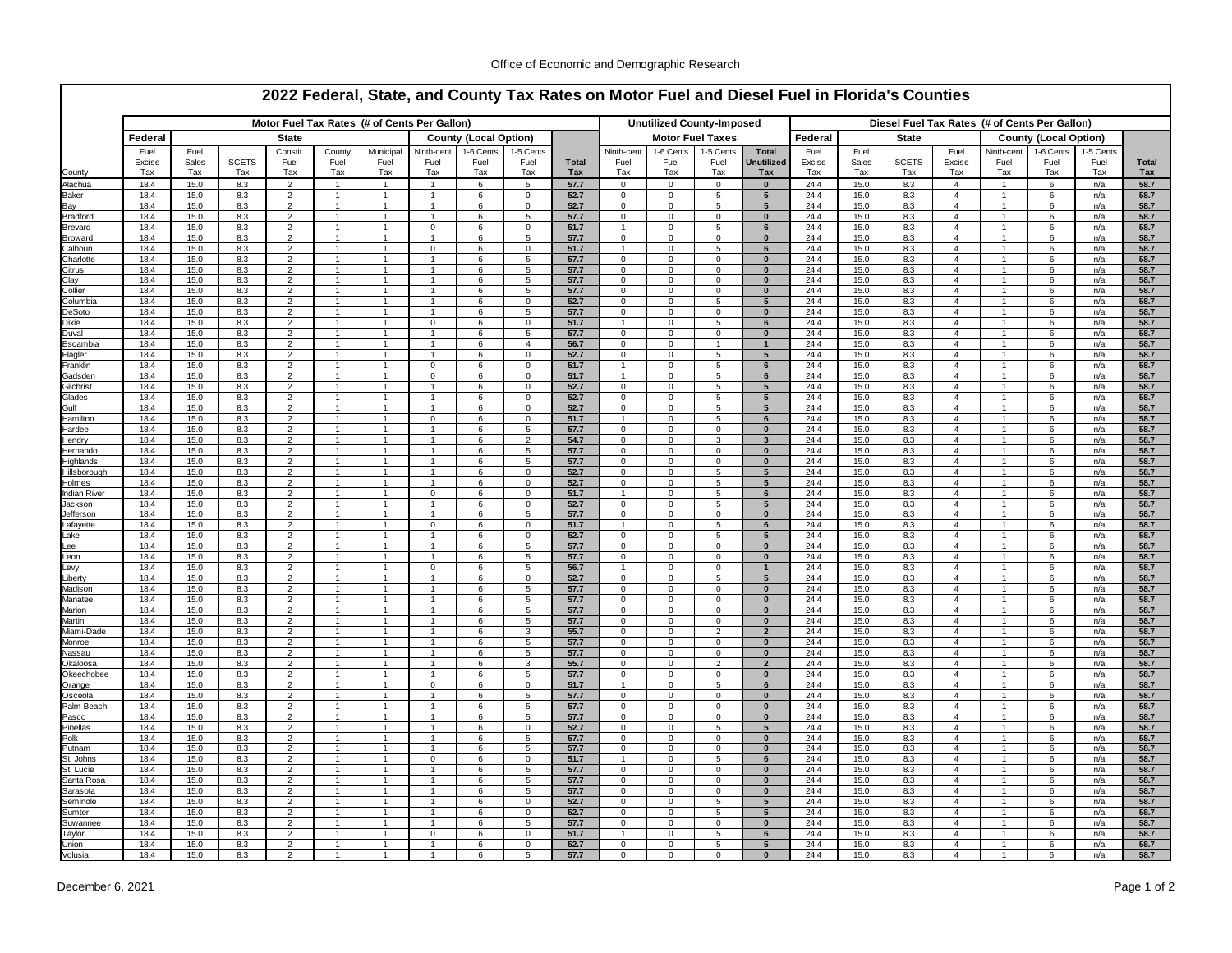|                             |               |              |                     |                                  |                              |                              | Motor Fuel Tax Rates (# of Cents Per Gallon) |             |                            |              |                             |                              | <b>Unutilized County-Imposed</b> |                              |               |              |                     |                                  | Diesel Fuel Tax Rates (# of Cents Per Gallon) |             |             |                     |
|-----------------------------|---------------|--------------|---------------------|----------------------------------|------------------------------|------------------------------|----------------------------------------------|-------------|----------------------------|--------------|-----------------------------|------------------------------|----------------------------------|------------------------------|---------------|--------------|---------------------|----------------------------------|-----------------------------------------------|-------------|-------------|---------------------|
|                             | Federal       |              |                     | <b>State</b>                     |                              | <b>County (Local Option)</b> |                                              |             |                            |              | <b>Motor Fuel Taxes</b>     |                              |                                  |                              | Federal       | <b>State</b> |                     |                                  | <b>County (Local Option)</b>                  |             |             |                     |
|                             | Fuel          | Fuel         |                     | Constit.                         | County                       | Municipal                    | Ninth-cent                                   | 1-6 Cents   | 1-5 Cents                  |              | Ninth-cent                  | 1-6 Cents                    | 1-5 Cents                        | Total                        | Fuel          | Fuel         |                     | Fuel                             | Ninth-cent                                    | 1-6 Cents   | 1-5 Cents   |                     |
| County                      | Excise<br>Tax | Sales<br>Tax | <b>SCETS</b><br>Tax | Fuel<br>Tax                      | Fuel<br>Tax                  | Fuel<br>Tax                  | Fuel<br>Tax                                  | Fuel<br>Tax | Fuel<br>Tax                | Total<br>Tax | Fuel<br>Tax                 | Fuel<br>Tax                  | Fuel<br>Tax                      | Unutilized<br>Tax            | Excise<br>Tax | Sales<br>Tax | <b>SCETS</b><br>Tax | Excise<br>Tax                    | Fuel<br>Tax                                   | Fuel<br>Tax | Fuel<br>Tax | <b>Total</b><br>Tax |
| Alachua                     | 18.4          | 15.0         | 8.3                 | $\overline{2}$                   | $\mathbf{1}$                 | $\overline{1}$               | $\mathbf{1}$                                 | 6           | 5                          | 57.7         | $\mathbf 0$                 | $\mathbf 0$                  | $\mathbf{0}$                     | $\mathbf{0}$                 | 24.4          | 15.0         | 8.3                 | $\overline{4}$                   | $\overline{1}$                                | 6           | n/a         | 58.7                |
| Baker                       | 18.4          | 15.0         | 8.3                 | $\overline{2}$                   | $\mathbf{1}$                 | $\overline{1}$               | $\mathbf{1}$                                 | 6           | $\mathbf 0$                | 52.7         | $\mathbf{0}$                | $\mathbf{0}$                 | 5                                | $5\phantom{.0}$              | 24.4          | 15.0         | 8.3                 | $\overline{4}$                   | $\mathbf{1}$                                  | 6           | n/a         | 58.7                |
| Bay                         | 18.4          | 15.0         | 8.3                 | $\mathfrak{p}$                   | $\mathbf{1}$                 | $\mathbf{1}$                 | $\mathbf{1}$                                 | 6           | $\mathbf 0$                | 52.7         | $\mathbf 0$                 | $\mathsf 0$                  | 5                                | $5\phantom{1}$               | 24.4          | 15.0         | 8.3                 | $\overline{4}$                   | $\overline{1}$                                | 6           | n/a         | 58.7                |
| Bradford                    | 18.4          | 15.0         | 8.3                 | $\overline{2}$                   | $\mathbf{1}$                 | $\mathbf{1}$                 | $\mathbf{1}$                                 | 6           | 5                          | 57.7         | $\mathbf 0$                 | $\mathbf 0$                  | $\mathbf 0$                      | $\bf{0}$                     | 24.4          | 15.0         | 8.3                 | $\overline{4}$                   | $\overline{1}$                                | 6           | n/a         | 58.7                |
| Brevard<br>Broward          | 18.4<br>18.4  | 15.0<br>15.0 | 8.3<br>8.3          | $\overline{2}$<br>$\overline{2}$ | $\mathbf{1}$<br>$\mathbf{1}$ | $\mathbf{1}$                 | $\mathsf 0$<br>$\overline{1}$                | 6<br>6      | $\mathbf 0$<br>5           | 51.7<br>57.7 | $\mathbf{1}$<br>$\mathbf 0$ | $\mathbf 0$<br>$\mathbf 0$   | 5<br>$\mathbf 0$                 | 6<br>$\bf{0}$                | 24.4<br>24.4  | 15.0<br>15.0 | 8.3<br>8.3          | $\overline{4}$<br>$\overline{4}$ | $\overline{1}$                                | 6<br>6      | n/a<br>n/a  | 58.7<br>58.7        |
| Calhoun                     | 18.4          | 15.0         | 8.3                 | $\overline{2}$                   |                              |                              | $\mathbf{0}$                                 | 6           | $\mathbf 0$                | 51.7         |                             | $\Omega$                     | 5                                | 6                            | 24.4          | 15.0         | 8.3                 | $\overline{4}$                   |                                               | 6           | n/a         | 58.7                |
| Charlotte                   | 18.4          | 15.0         | 8.3                 | $\overline{2}$                   | 1                            |                              | 1                                            | 6           | 5                          | 57.7         | $\mathbf{0}$                | $\mathbf 0$                  | $\mathbf 0$                      | $\bf{0}$                     | 24.4          | 15.0         | 8.3                 | $\overline{4}$                   |                                               | 6           | n/a         | 58.7                |
| Citrus<br>Clay              | 18.4<br>18.4  | 15.0<br>15.0 | 8.3<br>8.3          | $\overline{2}$<br>$\overline{2}$ | 1<br>1                       | 1                            | 1<br>1                                       | 6<br>6      | 5<br>5                     | 57.7<br>57.7 | $\mathbf 0$<br>$\mathbf 0$  | $\Omega$<br>$\mathbf 0$      | $\Omega$<br>$\mathbf 0$          | 0<br>$\bf{0}$                | 24.4<br>24.4  | 15.0<br>15.0 | 8.3<br>8.3          | $\overline{4}$<br>$\overline{4}$ |                                               | 6<br>6      | n/a<br>n/a  | 58.7<br>58.7        |
| Collier                     | 18.4          | 15.0         | 8.3                 | 2                                | 1                            |                              | 1                                            | 6           | 5                          | 57.7         | $\mathbf 0$                 | 0                            | $\Omega$                         | $\bf{0}$                     | 24.4          | 15.0         | 8.3                 | 4                                |                                               | 6           | n/a         | 58.7                |
| Columbia                    | 18.4          | 15.0         | 8.3                 | 2                                | $\mathbf{1}$                 | 1                            | 1                                            | 6           | 0                          | 52.7         | 0                           | 0                            | 5                                | 5                            | 24.4          | 15.0         | 8.3                 | $\overline{4}$                   | -1                                            | 6           | n/a         | 58.7                |
| DeSoto<br>Dixie             | 18.4<br>18.4  | 15.0<br>15.0 | 8.3<br>8.3          | 2<br>$\overline{2}$              | -1<br>1                      | $\mathbf{1}$<br>1            | 1<br>$\mathbf 0$                             | 6<br>6      | 5<br>$\Omega$              | 57.7<br>51.7 | 0<br>$\mathbf{1}$           | $\mathbf 0$<br>$\mathbf 0$   | 0<br>5                           | $\mathbf 0$<br>6             | 24.4<br>24.4  | 15.0<br>15.0 | 8.3<br>8.3          | 4<br>$\overline{4}$              | -1                                            | 6<br>6      | n/a<br>n/a  | 58.7<br>58.7        |
| Duval                       | 18.4          | 15.0         | 8.3                 | $\overline{2}$                   | 1                            |                              | 1                                            | 6           | -5                         | 57.7         | $\Omega$                    | $\Omega$                     | 0                                | $\bf{0}$                     | 24.4          | 15.0         | 8.3                 | $\overline{a}$                   |                                               | 6           | n/a         | 58.7                |
| Escambia                    | 18.4          | 15.0         | 8.3                 | $\overline{2}$                   | 1                            |                              | 1                                            | 6           | $\overline{a}$             | 56.7         | 0                           | 0                            | $\mathbf{1}$                     | $\mathbf{1}$                 | 24.4          | 15.0         | 8.3                 | $\overline{a}$                   |                                               | 6           | n/a         | 58.7                |
| Flagler                     | 18.4          | 15.0         | 8.3                 | $\overline{2}$<br>$\overline{2}$ | 1<br>$\mathbf{1}$            |                              |                                              | 6           | $\mathbf 0$                | 52.7         | $\mathbf 0$<br>$\mathbf{1}$ | $\Omega$<br>$\Omega$         | 5                                | 5                            | 24.4          | 15.0         | 8.3                 | $\overline{a}$<br>$\overline{a}$ |                                               | 6           | n/a         | 58.7                |
| Franklin<br>Gadsden         | 18.4<br>18.4  | 15.0<br>15.0 | 8.3<br>8.3          | $\overline{2}$                   | $\mathbf{1}$                 | $\overline{1}$               | 0<br>$\overline{0}$                          | 6<br>6      | $\mathbf 0$<br>$\mathbf 0$ | 51.7<br>51.7 | $\mathbf{1}$                | $\mathbf 0$                  | 5<br>5                           | 6<br>6                       | 24.4<br>24.4  | 15.0<br>15.0 | 8.3<br>8.3          | $\overline{4}$                   | $\mathbf{1}$                                  | 6<br>6      | n/a<br>n/a  | 58.7<br>58.7        |
| Gilchrist                   | 18.4          | 15.0         | 8.3                 | $\overline{2}$                   | 1                            | 1                            | $\mathbf{1}$                                 | 6           | $\mathbf 0$                | 52.7         | $\mathbf{0}$                | $\mathbf 0$                  | 5                                | 5                            | 24.4          | 15.0         | 8.3                 | $\overline{4}$                   |                                               | 6           | n/a         | 58.7                |
| Glades                      | 18.4          | 15.0         | 8.3                 | $\overline{2}$                   | 1                            |                              | $\mathbf{1}$                                 | 6           | 0                          | 52.7         | $\mathbf 0$                 | $\mathbf 0$                  | 5                                | 5                            | 24.4          | 15.0         | 8.3                 | $\overline{4}$                   |                                               | 6           | n/a         | 58.7                |
| Gulf<br>Hamilton            | 18.4<br>18.4  | 15.0<br>15.0 | 8.3<br>8.3          | $\overline{2}$<br>$\overline{2}$ | 1<br>1                       |                              | $\mathbf{1}$<br>$\mathsf 0$                  | 6<br>6      | 0<br>$\mathbf 0$           | 52.7<br>51.7 | $\mathbf 0$                 | $\Omega$<br>$\Omega$         | 5<br>5                           | 5<br>6                       | 24.4<br>24.4  | 15.0<br>15.0 | 8.3<br>8.3          | $\overline{4}$<br>$\overline{4}$ |                                               | 6<br>6      | n/a<br>n/a  | 58.7<br>58.7        |
| Hardee                      | 18.4          | 15.0         | 8.3                 | $\overline{2}$                   | 1                            |                              | 1                                            | 6           | 5                          | 57.7         | $\mathbf 0$                 | $\Omega$                     | $\mathbf 0$                      | $\bf{0}$                     | 24.4          | 15.0         | 8.3                 | $\overline{4}$                   |                                               | 6           | n/a         | 58.7                |
| <b>Hendry</b>               | 18.4          | 15.0         | 8.3                 | $\overline{2}$                   | 1                            |                              | 1                                            | 6           | $\overline{2}$             | 54.7         | $\mathbf 0$                 | $\Omega$                     | 3                                | $\overline{\mathbf{3}}$      | 24.4          | 15.0         | 8.3                 | $\overline{4}$                   |                                               | 6           | n/a         | 58.7                |
| <u>-lernando</u>            | 18.4<br>18.4  | 15.0<br>15.0 | 8.3<br>8.3          | 2<br>2                           | 1<br>$\mathbf{1}$            |                              | 1<br>$\mathbf{1}$                            | 6<br>6      | -5<br>5                    | 57.7<br>57.7 | 0<br>0                      | 0<br>$\mathbf 0$             | 0<br>$\mathbf 0$                 | 0<br>$\mathbf{0}$            | 24.4<br>24.4  | 15.0<br>15.0 | 8.3<br>8.3          | $\overline{4}$<br>4              |                                               | 6<br>6      | n/a         | 58.7<br>58.7        |
| Highlands<br>Hillsborough   | 18.4          | 15.0         | 8.3                 | $\overline{2}$                   | $\mathbf{1}$                 |                              | $\mathbf{1}$                                 | 6           | 0                          | 52.7         | 0                           | $\mathbf{0}$                 | 5                                | 5                            | 24.4          | 15.0         | 8.3                 | 4                                |                                               | 6           | n/a<br>n/a  | 58.7                |
| Holmes                      | 18.4          | 15.0         | 8.3                 | 2                                | $\mathbf{1}$                 |                              | 1                                            | 6           | 0                          | 52.7         | 0                           | $\mathbf{0}$                 | 5                                | 5                            | 24.4          | 15.0         | 8.3                 | 4                                |                                               | 6           | n/a         | 58.7                |
| ndian River                 | 18.4          | 15.0         | 8.3                 | $\mathcal{P}$<br>$\overline{2}$  | $\mathbf{1}$<br>$\mathbf{1}$ |                              | $\mathbf 0$<br>1                             | 6<br>6      | $\mathbf 0$<br>$\mathbf 0$ | 51.7         | $\mathbf 0$                 | $\Omega$<br>$\mathbf 0$      | 5                                | 6<br>$5\overline{5}$         | 24.4<br>24.4  | 15.0         | 8.3                 | $\overline{4}$<br>$\overline{4}$ |                                               | 6<br>6      | n/a         | 58.7                |
| Jackson<br><b>Jefferson</b> | 18.4<br>18.4  | 15.0<br>15.0 | 8.3<br>8.3          | $\overline{2}$                   | $\mathbf{1}$                 | $\mathbf{1}$                 | $\mathbf{1}$                                 | 6           | 5                          | 52.7<br>57.7 | $\mathbf 0$                 | $\mathbf 0$                  | 5<br>$\mathbf 0$                 | $\bf{0}$                     | 24.4          | 15.0<br>15.0 | 8.3<br>8.3          | $\overline{4}$                   | $\overline{1}$                                | 6           | n/a<br>n/a  | 58.7<br>58.7        |
| Lafayette                   | 18.4          | 15.0         | 8.3                 | $\overline{2}$                   | $\mathbf{1}$                 | $\mathbf{1}$                 | $\mathbf 0$                                  | 6           | $\mathbf 0$                | 51.7         | $\mathbf{1}$                | $\mathsf 0$                  | 5                                | 6                            | 24.4          | 15.0         | 8.3                 | $\overline{4}$                   | $\overline{1}$                                | 6           | n/a         | 58.7                |
| .ake                        | 18.4          | 15.0         | 8.3                 | $\overline{2}$                   | $\mathbf{1}$                 |                              | $\mathbf{1}$                                 | 6           | $\mathbf 0$                | 52.7         | $\mathbf 0$                 | $\mathbf 0$                  | 5                                | 5                            | 24.4          | 15.0         | 8.3                 | $\overline{4}$                   |                                               | 6           | n/a         | 58.7                |
| _ee<br>Leon                 | 18.4<br>18.4  | 15.0<br>15.0 | 8.3<br>8.3          | $\overline{2}$<br>2              | $\mathbf{1}$<br>$\mathbf{1}$ | $\overline{1}$<br>1          | $\overline{1}$<br>$\mathbf{1}$               | 6<br>6      | 5<br>5                     | 57.7<br>57.7 | $\mathbf 0$<br>$\mathbf 0$  | $\mathbf 0$<br>0             | $\mathbf 0$<br>0                 | $\bf{0}$<br>$\bf{0}$         | 24.4<br>24.4  | 15.0<br>15.0 | 8.3<br>8.3          | $\overline{4}$<br>4              | $\overline{1}$                                | 6<br>6      | n/a<br>n/a  | 58.7<br>58.7        |
| Levy                        | 18.4          | 15.0         | 8.3                 | $\overline{2}$                   | 1                            |                              | $\mathsf 0$                                  | 6           | 5                          | 56.7         |                             | $\Omega$                     | 0                                |                              | 24.4          | 15.0         | 8.3                 | $\overline{4}$                   |                                               | 6           | n/a         | 58.7                |
| _iberty                     | 18.4          | 15.0         | 8.3                 | $\overline{2}$                   | 1                            |                              | 1                                            | 6           | 0                          | 52.7         | $\mathbf 0$                 | 0                            | 5                                | 5                            | 24.4          | 15.0         | 8.3                 | 4                                |                                               | 6           | n/a         | 58.7                |
| Madison<br>Vlanatee         | 18.4<br>18.4  | 15.0<br>15.0 | 8.3<br>8.3          | $\overline{2}$<br>$\overline{2}$ | 1<br>1                       | 1<br>1                       | 1<br>1                                       | 6<br>6      | 5<br>5                     | 57.7<br>57.7 | $\mathbf 0$<br>$\mathbf 0$  | $\mathbf 0$<br>$\mathbf 0$   | $\Omega$<br>$\Omega$             | $\bf{0}$<br>$\bf{0}$         | 24.4<br>24.4  | 15.0<br>15.0 | 8.3<br>8.3          | $\overline{a}$<br>$\overline{a}$ | $\overline{1}$                                | 6<br>6      | n/a<br>n/a  | 58.7<br>58.7        |
| Marion                      | 18.4          | 15.0         | 8.3                 | 2                                | 1                            | 1                            | 1                                            | 6           | 5                          | 57.7         | $\Omega$                    | 0                            | 0                                | $\bf{0}$                     | 24.4          | 15.0         | 8.3                 | $\overline{4}$                   |                                               | 6           | n/a         | 58.7                |
| Vlartin                     | 18.4          | 15.0         | 8.3                 | 2                                | $\mathbf{1}$                 | 1                            | 1                                            | 6           | 5                          | 57.7         | $\mathbf{0}$                | $\mathbf{0}$                 | $\mathbf{0}$                     | $\mathbf 0$                  | 24.4          | 15.0         | 8.3                 | 4                                | -1                                            | 6           | n/a         | 58.7                |
| Miami-Dade                  | 18.4          | 15.0<br>15.0 | 8.3<br>8.3          | $\overline{2}$<br>$\overline{2}$ | 1<br>1                       | 1                            | $\mathbf{1}$<br>1                            | 6           | 3<br>-5                    | 55.7<br>57.7 | $\mathbf 0$<br>$\Omega$     | $\mathbf 0$<br>$\Omega$      | $\overline{2}$<br>$\Omega$       | $\overline{2}$<br>$\bf{0}$   | 24.4<br>24.4  | 15.0<br>15.0 | 8.3<br>8.3          | $\overline{4}$<br>$\overline{a}$ | $\overline{1}$                                | 6<br>6      | n/a         | 58.7<br>58.7        |
| Vionroe<br>Vassau           | 18.4<br>18.4  | 15.0         | 8.3                 | $\overline{2}$                   | 1                            |                              | 1                                            | 6<br>6      | -5                         | 57.7         | $\Omega$                    | $\Omega$                     | 0                                | $\mathbf{0}$                 | 24.4          | 15.0         | 8.3                 | $\overline{a}$                   |                                               | 6           | n/a<br>n/a  | 58.7                |
| Okaloosa                    | 18.4          | 15.0         | 8.3                 | $\overline{2}$                   | $\mathbf{1}$                 |                              | $\mathbf{1}$                                 | 6           | 3                          | 55.7         | 0                           | $\Omega$                     | $\overline{2}$                   | $\overline{2}$               | 24.4          | 15.0         | 8.3                 | $\overline{a}$                   |                                               | 6           | n/a         | 58.7                |
| Okeechobee                  | 18.4          | 15.0         | 8.3                 |                                  |                              |                              |                                              | 6           | 5                          | 57.7         | $\Omega$                    | $\Omega$                     | $\Omega$                         | $\Omega$                     | 24.4          | 15.0         | 8.3                 | $\boldsymbol{\Lambda}$           |                                               | 6           | n/a         | 58.7                |
| Orange<br>Osceola           | 18.4<br>18.4  | 15.0<br>15.0 | 8.3<br>8.3          | 2<br>$\mathcal{P}$               | 1<br>$\overline{1}$          | $\overline{1}$               | $\mathbf 0$<br>$\overline{1}$                | 6<br>6      | $\Omega$<br>5              | 51.7<br>57.7 | $\mathbf{1}$<br>$\mathbf 0$ | $\Omega$<br>$\mathbf 0$      | 5<br>0                           | 6<br>$\mathbf{0}$            | 24.4<br>24.4  | 15.0<br>15.0 | 8.3<br>8.3          | $\overline{a}$<br>$\overline{4}$ | $\mathbf{1}$                                  | 6<br>6      | n/a<br>n/a  | 58.7<br>58.7        |
| Palm Beach                  | 18.4          | 15.0         | 8.3                 | $\overline{2}$                   | $\mathbf{1}$                 | $\mathbf{1}$                 | $\overline{1}$                               | 6           | 5                          | 57.7         | $\mathbf 0$                 | $\mathbf 0$                  | 0                                | $\bf{0}$                     | 24.4          | 15.0         | 8.3                 | $\overline{4}$                   |                                               | 6           | n/a         | 58.7                |
| Pasco                       | 18.4          | 15.0         | 8.3                 |                                  | 1                            |                              |                                              | 6           | 5                          | 57.7         | $\Omega$                    | $\Omega$                     | 0                                | $\bf{0}$                     | 24.4          | 15.0         | 8.3                 | $\overline{4}$                   |                                               | 6           | n/a         | 58.7                |
| Pinellas<br>Polk            | 18.4<br>18.4  | 15.0<br>15.0 | 8.3<br>8.3          | $\overline{2}$<br>$\overline{2}$ | 1<br>1                       |                              | $\mathbf{1}$                                 | 6<br>6      | 0<br>5                     | 52.7<br>57.7 | 0<br>$\Omega$               | $\Omega$<br>$\Omega$         | 5<br>$\mathbf 0$                 | 5<br>$\bf{0}$                | 24.4<br>24.4  | 15.0<br>15.0 | 8.3<br>8.3          | $\overline{a}$<br>$\overline{4}$ |                                               | 6<br>6      | n/a<br>n/a  | 58.7<br>58.7        |
| Putnam                      | 18.4          | 15.0         | 8.3                 | $\overline{2}$                   | 1                            |                              |                                              | 6           | 5                          | 57.7         | $\mathbf{0}$                | $\Omega$                     | $\mathbf{0}$                     | $\bf{0}$                     | 24.4          | 15.0         | 8.3                 | $\overline{4}$                   |                                               | 6           | n/a         | 58.7                |
| St. Johns                   | 18.4          | 15.0         | 8.3                 | 2                                | 1                            |                              | 0                                            | 6           | $\mathbf 0$                | 51.7         |                             | 0                            | 5                                |                              | 24.4          | 15.0         | 8.3                 | $\overline{a}$                   |                                               | 6           | n/a         | 58.7                |
| St. Lucie                   | 18.4          | 15.0         | 8.3                 | 2                                | -1                           |                              | $\mathbf{1}$                                 | 6           | 5                          | 57.7         | $\Omega$                    | $\mathbf 0$                  | $\mathbf 0$                      | $\mathbf 0$                  | 24.4          | 15.0         | 8.3                 | 4                                | -1                                            | 6           | n/a         | 58.7                |
| Santa Rosa<br>Sarasota      | 18.4<br>18.4  | 15.0<br>15.0 | 8.3<br>8.3          | $\overline{2}$<br>$\overline{2}$ | 1<br>$\mathbf{1}$            |                              | 1<br>$\mathbf{1}$                            | 6<br>6      | 5<br>5                     | 57.7<br>57.7 | 0<br>0                      | $\mathbf{0}$<br>$\mathbf{0}$ | 0<br>$\mathbf{0}$                | $\mathbf{0}$<br>$\mathbf{0}$ | 24.4<br>24.4  | 15.0<br>15.0 | 8.3<br>8.3          | 4<br>4                           |                                               | 6<br>6      | n/a<br>n/a  | 58.7<br>58.7        |
| Seminole                    | 18.4          | 15.0         | 8.3                 | $\mathcal{P}$                    | 1                            |                              | $\mathbf{1}$                                 | 6           | 0                          | 52.7         | $\Omega$                    | 0                            | 5                                | 5                            | 24.4          | 15.0         | 8.3                 | $\overline{a}$                   |                                               | 6           | n/a         | 58.7                |
| Sumter                      | 18.4          | 15.0         | 8.3                 | $\overline{2}$                   | $\mathbf{1}$                 |                              | 1                                            | 6           | $\mathbf 0$                | 52.7         | $\mathbf 0$                 | $\mathbf 0$                  | 5                                | 5                            | 24.4          | 15.0         | 8.3                 | $\overline{4}$                   |                                               | 6           | n/a         | 58.7                |
| Suwannee                    | 18.4<br>18.4  | 15.0<br>15.0 | 8.3<br>8.3          | $\overline{2}$<br>$\overline{2}$ | $\mathbf{1}$<br>$\mathbf{1}$ |                              | 0                                            | 6<br>6      | 5<br>$\mathbf 0$           | 57.7<br>51.7 | $\mathbf 0$<br>$\mathbf{1}$ | $\Omega$<br>$\Omega$         | $\mathbf 0$<br>5                 | $\bf{0}$<br>6                | 24.4<br>24.4  | 15.0<br>15.0 | 8.3<br>8.3          | $\overline{4}$<br>$\overline{4}$ |                                               | 6<br>6      | n/a         | 58.7<br>58.7        |
| Taylor<br>Union             | 18.4          | 15.0         | 8.3                 | $\overline{2}$                   | $\mathbf{1}$                 | $\mathbf{1}$                 | $\mathbf{1}$                                 | 6           | $\mathbf 0$                | 52.7         | $\mathbf 0$                 | $\Omega$                     | 5                                | 5                            | 24.4          | 15.0         | 8.3                 | $\overline{4}$                   |                                               | 6           | n/a<br>n/a  | 58.7                |
| Volusia                     | 18.4          | 15.0         | 8.3                 | $\overline{2}$                   | $\mathbf{1}$                 | $\overline{1}$               | $\overline{1}$                               | 6           | 5                          | 57.7         | $\mathbf 0$                 | $\mathbf 0$                  | $\mathbf 0$                      | $\bf{0}$                     | 24.4          | 15.0         | 8.3                 | $\overline{4}$                   | $\overline{1}$                                | 6           | n/a         | 58.7                |